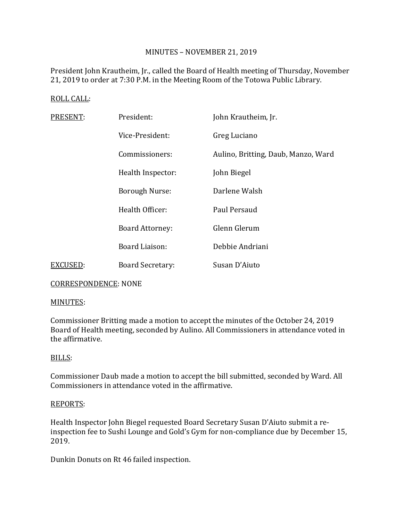# MINUTES – NOVEMBER 21, 2019

President John Krautheim, Jr., called the Board of Health meeting of Thursday, November 21, 2019 to order at 7:30 P.M. in the Meeting Room of the Totowa Public Library.

# ROLL CALL:

| PRESENT: | President:              | John Krautheim, Jr.                 |
|----------|-------------------------|-------------------------------------|
|          | Vice-President:         | Greg Luciano                        |
|          | Commissioners:          | Aulino, Britting, Daub, Manzo, Ward |
|          | Health Inspector:       | John Biegel                         |
|          | <b>Borough Nurse:</b>   | Darlene Walsh                       |
|          | Health Officer:         | Paul Persaud                        |
|          | <b>Board Attorney:</b>  | Glenn Glerum                        |
|          | Board Liaison:          | Debbie Andriani                     |
| EXCUSED: | <b>Board Secretary:</b> | Susan D'Aiuto                       |

CORRESPONDENCE: NONE

## MINUTES:

Commissioner Britting made a motion to accept the minutes of the October 24, 2019 Board of Health meeting, seconded by Aulino. All Commissioners in attendance voted in the affirmative.

## BILLS:

Commissioner Daub made a motion to accept the bill submitted, seconded by Ward. All Commissioners in attendance voted in the affirmative.

## REPORTS:

Health Inspector John Biegel requested Board Secretary Susan D'Aiuto submit a reinspection fee to Sushi Lounge and Gold's Gym for non-compliance due by December 15, 2019.

Dunkin Donuts on Rt 46 failed inspection.